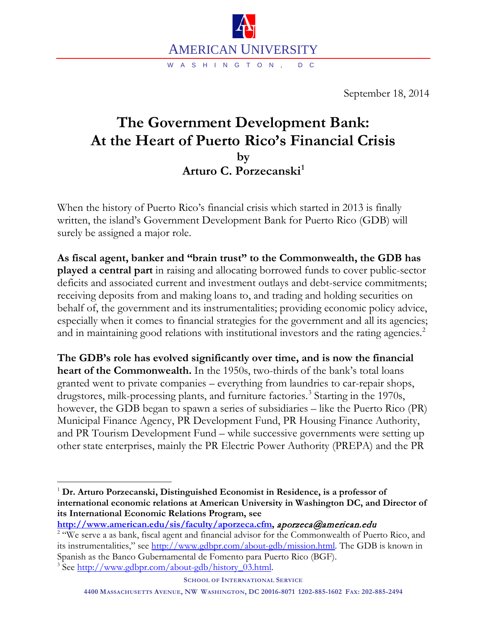

September 18, 2014

## **The Government Development Bank: At the Heart of Puerto Rico's Financial Crisis by Arturo C. Porzecanski[1](#page-0-0)**

When the history of Puerto Rico's financial crisis which started in 2013 is finally written, the island's Government Development Bank for Puerto Rico (GDB) will surely be assigned a major role.

**As fiscal agent, banker and "brain trust" to the Commonwealth, the GDB has played a central part** in raising and allocating borrowed funds to cover public-sector deficits and associated current and investment outlays and debt-service commitments; receiving deposits from and making loans to, and trading and holding securities on behalf of, the government and its instrumentalities; providing economic policy advice, especially when it comes to financial strategies for the government and all its agencies; and in maintaining good relations with institutional investors and the rating agencies.<sup>[2](#page-0-1)</sup>

**The GDB's role has evolved significantly over time, and is now the financial heart of the Commonwealth.** In the 1950s, two-thirds of the bank's total loans granted went to private companies – everything from laundries to car-repair shops, drugstores, milk-processing plants, and furniture factories. [3](#page-0-2) Starting in the 1970s, however, the GDB began to spawn a series of subsidiaries – like the Puerto Rico (PR) Municipal Finance Agency, PR Development Fund, PR Housing Finance Authority, and PR Tourism Development Fund – while successive governments were setting up other state enterprises, mainly the PR Electric Power Authority (PREPA) and the PR

<span id="page-0-2"></span><sup>3</sup> See [http://www.gdbpr.com/about-gdb/history\\_03.html.](http://www.gdbpr.com/about-gdb/history_03.html)

<span id="page-0-0"></span> <sup>1</sup> **Dr. Arturo Porzecanski, Distinguished Economist in Residence, is a professor of international economic relations at American University in Washington DC, and Director of its International Economic Relations Program, see** 

<span id="page-0-1"></span>**[http://www.american.edu/sis/faculty/aporzeca.cfm,](http://www.american.edu/sis/faculty/aporzeca.cfm) aporzeca@american.edu** <sup>2</sup> "We serve a as bank, fiscal agent and financial advisor for the Commonwealth of Puerto Rico, and its instrumentalities," see [http://www.gdbpr.com/about-gdb/mission.html.](http://www.gdbpr.com/about-gdb/mission.html) The GDB is known in Spanish as the Banco Gubernamental de Fomento para Puerto Rico (BGF).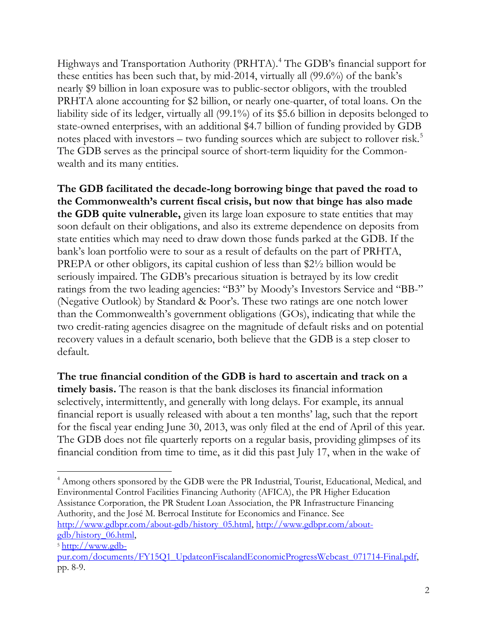Highways and Transportation Authority (PRHTA). [4](#page-1-0) The GDB's financial support for these entities has been such that, by mid-2014, virtually all (99.6%) of the bank's nearly \$9 billion in loan exposure was to public-sector obligors, with the troubled PRHTA alone accounting for \$2 billion, or nearly one-quarter, of total loans. On the liability side of its ledger, virtually all (99.1%) of its \$5.6 billion in deposits belonged to state-owned enterprises, with an additional \$4.7 billion of funding provided by GDB notes placed with investors – two funding sources which are subject to rollover risk. [5](#page-1-1) The GDB serves as the principal source of short-term liquidity for the Commonwealth and its many entities.

**The GDB facilitated the decade-long borrowing binge that paved the road to the Commonwealth's current fiscal crisis, but now that binge has also made the GDB quite vulnerable,** given its large loan exposure to state entities that may soon default on their obligations, and also its extreme dependence on deposits from state entities which may need to draw down those funds parked at the GDB. If the bank's loan portfolio were to sour as a result of defaults on the part of PRHTA, PREPA or other obligors, its capital cushion of less than \$2½ billion would be seriously impaired. The GDB's precarious situation is betrayed by its low credit ratings from the two leading agencies: "B3" by Moody's Investors Service and "BB-" (Negative Outlook) by Standard & Poor's. These two ratings are one notch lower than the Commonwealth's government obligations (GOs), indicating that while the two credit-rating agencies disagree on the magnitude of default risks and on potential recovery values in a default scenario, both believe that the GDB is a step closer to default.

**The true financial condition of the GDB is hard to ascertain and track on a timely basis.** The reason is that the bank discloses its financial information selectively, intermittently, and generally with long delays. For example, its annual financial report is usually released with about a ten months' lag, such that the report for the fiscal year ending June 30, 2013, was only filed at the end of April of this year. The GDB does not file quarterly reports on a regular basis, providing glimpses of its financial condition from time to time, as it did this past July 17, when in the wake of

<span id="page-1-0"></span><sup>&</sup>lt;sup>4</sup> Among others sponsored by the GDB were the PR Industrial, Tourist, Educational, Medical, and Environmental Control Facilities Financing Authority (AFICA), the PR Higher Education Assistance Corporation, the PR Student Loan Association, the PR Infrastructure Financing Authority, and the José M. Berrocal Institute for Economics and Finance. See [http://www.gdbpr.com/about-gdb/history\\_05.html,](http://www.gdbpr.com/about-gdb/history_05.html) [http://www.gdbpr.com/about](http://www.gdbpr.com/about-gdb/history_06.html)[gdb/history\\_06.html,](http://www.gdbpr.com/about-gdb/history_06.html)

<span id="page-1-1"></span><sup>5</sup> [http://www.gdb-](http://www.gdb-pur.com/documents/FY15Q1_UpdateonFiscalandEconomicProgressWebcast_071714-Final.pdfp)

[pur.com/documents/FY15Q1\\_UpdateonFiscalandEconomicProgressWebcast\\_071714-Final.pdf,](http://www.gdb-pur.com/documents/FY15Q1_UpdateonFiscalandEconomicProgressWebcast_071714-Final.pdfp) pp. 8-9.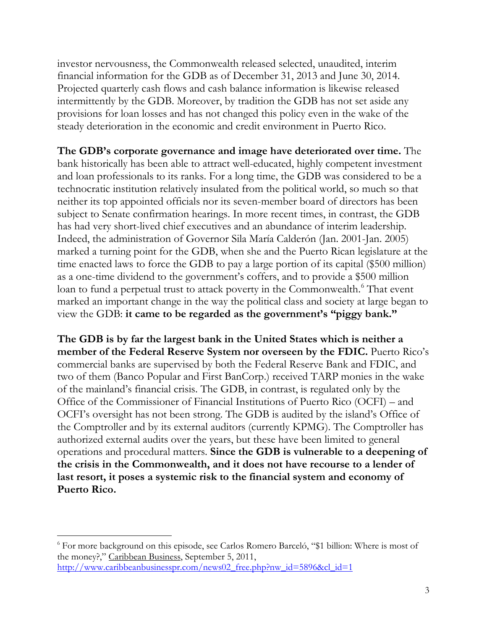investor nervousness, the Commonwealth released selected, unaudited, interim financial information for the GDB as of December 31, 2013 and June 30, 2014. Projected quarterly cash flows and cash balance information is likewise released intermittently by the GDB. Moreover, by tradition the GDB has not set aside any provisions for loan losses and has not changed this policy even in the wake of the steady deterioration in the economic and credit environment in Puerto Rico.

**The GDB's corporate governance and image have deteriorated over time.** The bank historically has been able to attract well-educated, highly competent investment and loan professionals to its ranks. For a long time, the GDB was considered to be a technocratic institution relatively insulated from the political world, so much so that neither its top appointed officials nor its seven-member board of directors has been subject to Senate confirmation hearings. In more recent times, in contrast, the GDB has had very short-lived chief executives and an abundance of interim leadership. Indeed, the administration of Governor Sila María Calderón (Jan. 2001-Jan. 2005) marked a turning point for the GDB, when she and the Puerto Rican legislature at the time enacted laws to force the GDB to pay a large portion of its capital (\$500 million) as a one-time dividend to the government's coffers, and to provide a \$500 million loan to fund a perpetual trust to attack poverty in the Commonwealth.<sup>[6](#page-2-0)</sup> That event marked an important change in the way the political class and society at large began to view the GDB: **it came to be regarded as the government's "piggy bank."**

**The GDB is by far the largest bank in the United States which is neither a member of the Federal Reserve System nor overseen by the FDIC.** Puerto Rico's commercial banks are supervised by both the Federal Reserve Bank and FDIC, and two of them (Banco Popular and First BanCorp.) received TARP monies in the wake of the mainland's financial crisis. The GDB, in contrast, is regulated only by the Office of the Commissioner of Financial Institutions of Puerto Rico (OCFI) – and OCFI's oversight has not been strong. The GDB is audited by the island's Office of the Comptroller and by its external auditors (currently KPMG). The Comptroller has authorized external audits over the years, but these have been limited to general operations and procedural matters. **Since the GDB is vulnerable to a deepening of the crisis in the Commonwealth, and it does not have recourse to a lender of last resort, it poses a systemic risk to the financial system and economy of Puerto Rico.**

<span id="page-2-0"></span> <sup>6</sup> For more background on this episode, see Carlos Romero Barceló, "\$1 billion: Where is most of the money?," Caribbean Business, September 5, 2011, [http://www.caribbeanbusinesspr.com/news02\\_free.php?nw\\_id=5896&cl\\_id=1](http://www.caribbeanbusinesspr.com/news02_free.php?nw_id=5896&cl_id=1)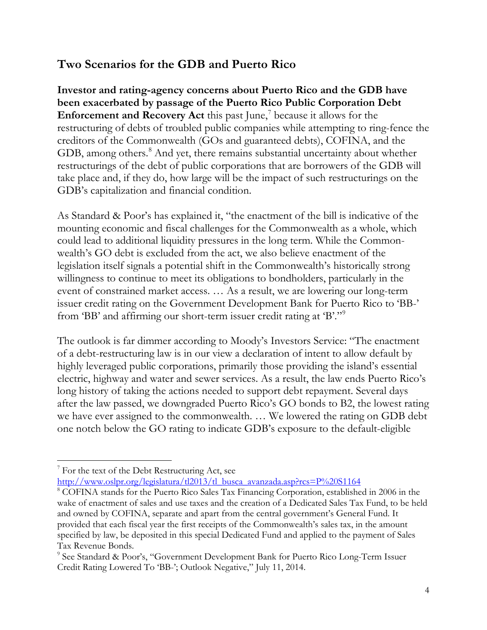## **Two Scenarios for the GDB and Puerto Rico**

**Investor and rating-agency concerns about Puerto Rico and the GDB have been exacerbated by passage of the Puerto Rico Public Corporation Debt Enforcement and Recovery Act** this past June, [7](#page-3-0) because it allows for the restructuring of debts of troubled public companies while attempting to ring-fence the creditors of the Commonwealth (GOs and guaranteed debts), COFINA, and the GDB, among others.<sup>[8](#page-3-1)</sup> And yet, there remains substantial uncertainty about whether restructurings of the debt of public corporations that are borrowers of the GDB will take place and, if they do, how large will be the impact of such restructurings on the GDB's capitalization and financial condition.

As Standard & Poor's has explained it, "the enactment of the bill is indicative of the mounting economic and fiscal challenges for the Commonwealth as a whole, which could lead to additional liquidity pressures in the long term. While the Commonwealth's GO debt is excluded from the act, we also believe enactment of the legislation itself signals a potential shift in the Commonwealth's historically strong willingness to continue to meet its obligations to bondholders, particularly in the event of constrained market access. … As a result, we are lowering our long-term issuer credit rating on the Government Development Bank for Puerto Rico to 'BB-' from 'BB' and affirming our short-term issuer credit rating at 'B'."[9](#page-3-2)

The outlook is far dimmer according to Moody's Investors Service: "The enactment of a debt-restructuring law is in our view a declaration of intent to allow default by highly leveraged public corporations, primarily those providing the island's essential electric, highway and water and sewer services. As a result, the law ends Puerto Rico's long history of taking the actions needed to support debt repayment. Several days after the law passed, we downgraded Puerto Rico's GO bonds to B2, the lowest rating we have ever assigned to the commonwealth. … We lowered the rating on GDB debt one notch below the GO rating to indicate GDB's exposure to the default-eligible

[http://www.oslpr.org/legislatura/tl2013/tl\\_busca\\_avanzada.asp?rcs=P%20S1164](http://www.oslpr.org/legislatura/tl2013/tl_busca_avanzada.asp?rcs=P%20S1164)

<span id="page-3-0"></span> $\gamma$  For the text of the Debt Restructuring Act, see

<span id="page-3-1"></span><sup>8</sup> COFINA stands for the Puerto Rico Sales Tax Financing Corporation, established in 2006 in the wake of enactment of sales and use taxes and the creation of a Dedicated Sales Tax Fund, to be held and owned by COFINA, separate and apart from the central government's General Fund. It provided that each fiscal year the first receipts of the Commonwealth's sales tax, in the amount specified by law, be deposited in this special Dedicated Fund and applied to the payment of Sales Tax Revenue Bonds.

<span id="page-3-2"></span><sup>9</sup> See Standard & Poor's, "Government Development Bank for Puerto Rico Long-Term Issuer Credit Rating Lowered To 'BB-'; Outlook Negative," July 11, 2014.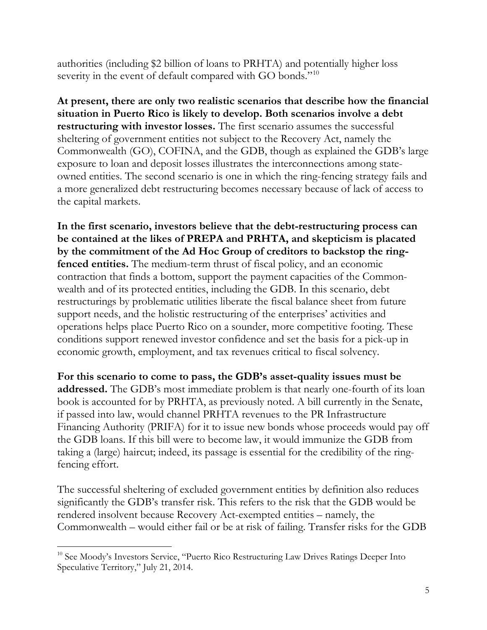authorities (including \$2 billion of loans to PRHTA) and potentially higher loss severity in the event of default compared with GO bonds."<sup>[10](#page-4-0)</sup>

**At present, there are only two realistic scenarios that describe how the financial situation in Puerto Rico is likely to develop. Both scenarios involve a debt restructuring with investor losses.** The first scenario assumes the successful sheltering of government entities not subject to the Recovery Act, namely the Commonwealth (GO), COFINA, and the GDB, though as explained the GDB's large exposure to loan and deposit losses illustrates the interconnections among stateowned entities. The second scenario is one in which the ring-fencing strategy fails and a more generalized debt restructuring becomes necessary because of lack of access to the capital markets.

**In the first scenario, investors believe that the debt-restructuring process can be contained at the likes of PREPA and PRHTA, and skepticism is placated by the commitment of the Ad Hoc Group of creditors to backstop the ringfenced entities.** The medium-term thrust of fiscal policy, and an economic contraction that finds a bottom, support the payment capacities of the Commonwealth and of its protected entities, including the GDB. In this scenario, debt restructurings by problematic utilities liberate the fiscal balance sheet from future support needs, and the holistic restructuring of the enterprises' activities and operations helps place Puerto Rico on a sounder, more competitive footing. These conditions support renewed investor confidence and set the basis for a pick-up in economic growth, employment, and tax revenues critical to fiscal solvency.

**For this scenario to come to pass, the GDB's asset-quality issues must be addressed.** The GDB's most immediate problem is that nearly one-fourth of its loan book is accounted for by PRHTA, as previously noted. A bill currently in the Senate, if passed into law, would channel PRHTA revenues to the PR Infrastructure Financing Authority (PRIFA) for it to issue new bonds whose proceeds would pay off the GDB loans. If this bill were to become law, it would immunize the GDB from taking a (large) haircut; indeed, its passage is essential for the credibility of the ringfencing effort.

The successful sheltering of excluded government entities by definition also reduces significantly the GDB's transfer risk. This refers to the risk that the GDB would be rendered insolvent because Recovery Act-exempted entities – namely, the Commonwealth – would either fail or be at risk of failing. Transfer risks for the GDB

<span id="page-4-0"></span><sup>&</sup>lt;sup>10</sup> See Moody's Investors Service, "Puerto Rico Restructuring Law Drives Ratings Deeper Into Speculative Territory," July 21, 2014.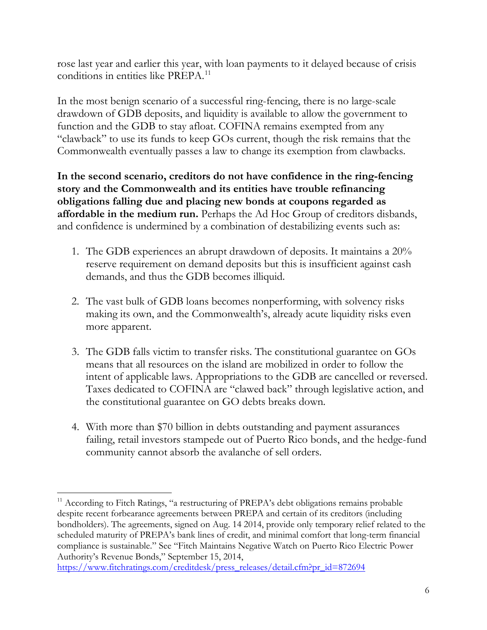rose last year and earlier this year, with loan payments to it delayed because of crisis conditions in entities like PREPA.<sup>[11](#page-5-0)</sup>

In the most benign scenario of a successful ring-fencing, there is no large-scale drawdown of GDB deposits, and liquidity is available to allow the government to function and the GDB to stay afloat. COFINA remains exempted from any "clawback" to use its funds to keep GOs current, though the risk remains that the Commonwealth eventually passes a law to change its exemption from clawbacks.

**In the second scenario, creditors do not have confidence in the ring-fencing story and the Commonwealth and its entities have trouble refinancing obligations falling due and placing new bonds at coupons regarded as affordable in the medium run.** Perhaps the Ad Hoc Group of creditors disbands, and confidence is undermined by a combination of destabilizing events such as:

- 1. The GDB experiences an abrupt drawdown of deposits. It maintains a 20% reserve requirement on demand deposits but this is insufficient against cash demands, and thus the GDB becomes illiquid.
- 2. The vast bulk of GDB loans becomes nonperforming, with solvency risks making its own, and the Commonwealth's, already acute liquidity risks even more apparent.
- 3. The GDB falls victim to transfer risks. The constitutional guarantee on GOs means that all resources on the island are mobilized in order to follow the intent of applicable laws. Appropriations to the GDB are cancelled or reversed. Taxes dedicated to COFINA are "clawed back" through legislative action, and the constitutional guarantee on GO debts breaks down.
- 4. With more than \$70 billion in debts outstanding and payment assurances failing, retail investors stampede out of Puerto Rico bonds, and the hedge-fund community cannot absorb the avalanche of sell orders.

<span id="page-5-0"></span> $11$  According to Fitch Ratings, "a restructuring of PREPA's debt obligations remains probable despite recent forbearance agreements between PREPA and certain of its creditors (including bondholders). The agreements, signed on Aug. 14 2014, provide only temporary relief related to the scheduled maturity of PREPA's bank lines of credit, and minimal comfort that long-term financial compliance is sustainable." See "Fitch Maintains Negative Watch on Puerto Rico Electric Power Authority's Revenue Bonds," September 15, 2014,

[https://www.fitchratings.com/creditdesk/press\\_releases/detail.cfm?pr\\_id=872694](https://www.fitchratings.com/creditdesk/press_releases/detail.cfm?pr_id=872694)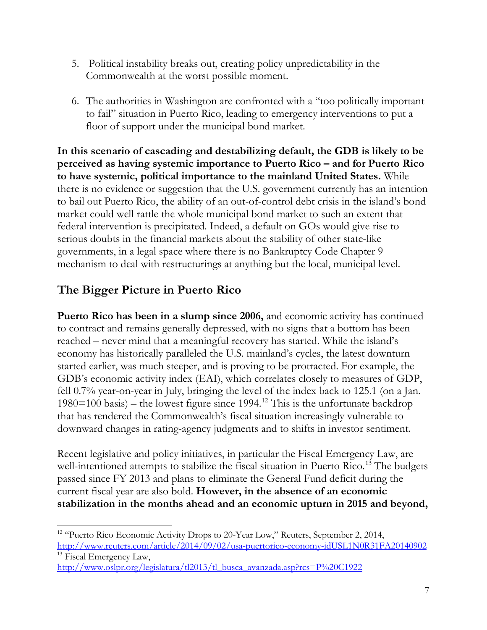- 5. Political instability breaks out, creating policy unpredictability in the Commonwealth at the worst possible moment.
- 6. The authorities in Washington are confronted with a "too politically important to fail" situation in Puerto Rico, leading to emergency interventions to put a floor of support under the municipal bond market.

**In this scenario of cascading and destabilizing default, the GDB is likely to be perceived as having systemic importance to Puerto Rico – and for Puerto Rico to have systemic, political importance to the mainland United States.** While there is no evidence or suggestion that the U.S. government currently has an intention to bail out Puerto Rico, the ability of an out-of-control debt crisis in the island's bond market could well rattle the whole municipal bond market to such an extent that federal intervention is precipitated. Indeed, a default on GOs would give rise to serious doubts in the financial markets about the stability of other state-like governments, in a legal space where there is no Bankruptcy Code Chapter 9 mechanism to deal with restructurings at anything but the local, municipal level.

## **The Bigger Picture in Puerto Rico**

**Puerto Rico has been in a slump since 2006,** and economic activity has continued to contract and remains generally depressed, with no signs that a bottom has been reached – never mind that a meaningful recovery has started. While the island's economy has historically paralleled the U.S. mainland's cycles, the latest downturn started earlier, was much steeper, and is proving to be protracted. For example, the GDB's economic activity index (EAI), which correlates closely to measures of GDP, fell 0.7% year-on-year in July, bringing the level of the index back to 125.1 (on a Jan. 1980=100 basis) – the lowest figure since 1994.<sup>[12](#page-6-0)</sup> This is the unfortunate backdrop that has rendered the Commonwealth's fiscal situation increasingly vulnerable to downward changes in rating-agency judgments and to shifts in investor sentiment.

Recent legislative and policy initiatives, in particular the Fiscal Emergency Law, are well-intentioned attempts to stabilize the fiscal situation in Puerto Rico.<sup>[13](#page-6-1)</sup> The budgets passed since FY 2013 and plans to eliminate the General Fund deficit during the current fiscal year are also bold. **However, in the absence of an economic stabilization in the months ahead and an economic upturn in 2015 and beyond,** 

<span id="page-6-0"></span><sup>&</sup>lt;sup>12</sup> "Puerto Rico Economic Activity Drops to 20-Year Low," Reuters, September 2, 2014, <http://www.reuters.com/article/2014/09/02/usa-puertorico-economy-idUSL1N0R31FA20140902> <sup>13</sup> Fiscal Emergency Law,

<span id="page-6-1"></span>[http://www.oslpr.org/legislatura/tl2013/tl\\_busca\\_avanzada.asp?rcs=P%20C1922](http://www.oslpr.org/legislatura/tl2013/tl_busca_avanzada.asp?rcs=P%20C1922)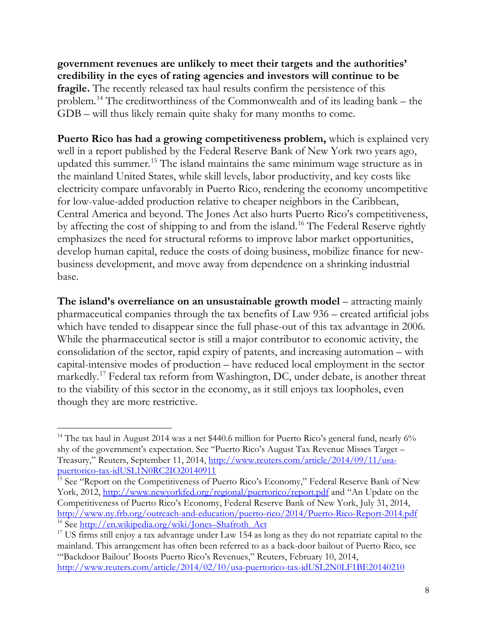**government revenues are unlikely to meet their targets and the authorities' credibility in the eyes of rating agencies and investors will continue to be fragile.** The recently released tax haul results confirm the persistence of this problem.[14](#page-7-0) The creditworthiness of the Commonwealth and of its leading bank – the GDB – will thus likely remain quite shaky for many months to come.

**Puerto Rico has had a growing competitiveness problem,** which is explained very well in a report published by the Federal Reserve Bank of New York two years ago, updated this summer.<sup>[15](#page-7-1)</sup> The island maintains the same minimum wage structure as in the mainland United States, while skill levels, labor productivity, and key costs like electricity compare unfavorably in Puerto Rico, rendering the economy uncompetitive for low-value-added production relative to cheaper neighbors in the Caribbean, Central America and beyond. The Jones Act also hurts Puerto Rico's competitiveness, by affecting the cost of shipping to and from the island. [16](#page-7-2) The Federal Reserve rightly emphasizes the need for structural reforms to improve labor market opportunities, develop human capital, reduce the costs of doing business, mobilize finance for newbusiness development, and move away from dependence on a shrinking industrial base.

**The island's overreliance on an unsustainable growth model** – attracting mainly pharmaceutical companies through the tax benefits of Law 936 – created artificial jobs which have tended to disappear since the full phase-out of this tax advantage in 2006. While the pharmaceutical sector is still a major contributor to economic activity, the consolidation of the sector, rapid expiry of patents, and increasing automation – with capital-intensive modes of production – have reduced local employment in the sector markedly.<sup>[17](#page-7-3)</sup> Federal tax reform from Washington, DC, under debate, is another threat to the viability of this sector in the economy, as it still enjoys tax loopholes, even though they are more restrictive.

<span id="page-7-0"></span><sup>&</sup>lt;sup>14</sup> The tax haul in August 2014 was a net \$440.6 million for Puerto Rico's general fund, nearly  $6\%$ shy of the government's expectation. See "Puerto Rico's August Tax Revenue Misses Target – Treasury," Reuters, September 11, 2014, [http://www.reuters.com/article/2014/09/11/usa](http://www.reuters.com/article/2014/09/11/usa-puertorico-tax-idUSL1N0RC2IO20140911)[puertorico-tax-idUSL1N0RC2IO20140911](http://www.reuters.com/article/2014/09/11/usa-puertorico-tax-idUSL1N0RC2IO20140911)

<span id="page-7-1"></span><sup>&</sup>lt;sup>15</sup> See "Report on the Competitiveness of Puerto Rico's Economy," Federal Reserve Bank of New York, 2012,<http://www.newyorkfed.org/regional/puertorico/report.pdf> and "An Update on the Competitiveness of Puerto Rico's Economy, Federal Reserve Bank of New York, July 31, 2014, <http://www.ny.frb.org/outreach-and-education/puerto-rico/2014/Puerto-Rico-Report-2014.pdf> <sup>16</sup> See [http://en.wikipedia.org/wiki/Jones–Shafroth\\_Act](http://en.wikipedia.org/wiki/Jones–Shafroth_Act)

<span id="page-7-3"></span><span id="page-7-2"></span> $17$  US firms still enjoy a tax advantage under Law 154 as long as they do not repatriate capital to the mainland. This arrangement has often been referred to as a back-door bailout of Puerto Rico, see "'Backdoor Bailout' Boosts Puerto Rico's Revenues," Reuters, February 10, 2014, <http://www.reuters.com/article/2014/02/10/usa-puertorico-tax-idUSL2N0LF1BE20140210>